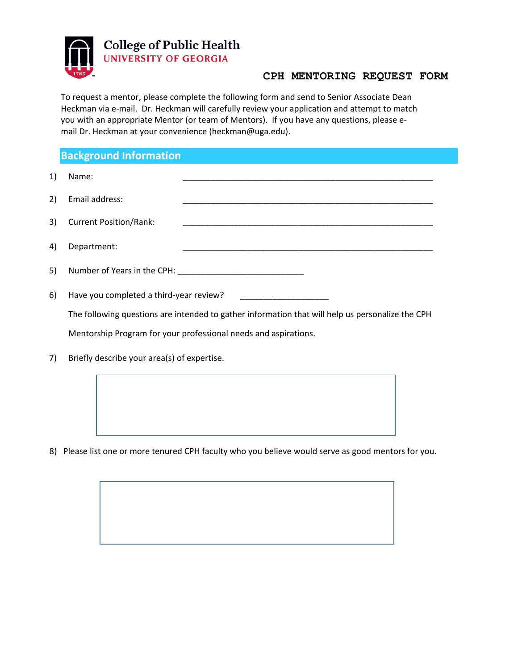

## **CPH MENTORING REQUEST FORM**

To request a mentor, please complete the following form and send to Senior Associate Dean Heckman via e-mail. Dr. Heckman will carefully review your application and attempt to match you with an appropriate Mentor (or team of Mentors). If you have any questions, please email Dr. Heckman at your convenience (heckman@uga.edu).

## **Background Information**

\_\_\_\_\_\_\_\_\_\_\_\_\_\_\_\_\_\_\_\_\_\_\_\_\_\_\_\_\_\_\_\_\_\_\_\_\_\_\_\_\_\_\_\_\_\_\_\_\_\_\_\_\_\_ \_\_\_\_\_\_\_\_\_\_\_\_\_\_\_\_\_\_\_\_\_\_\_\_\_\_\_\_\_\_\_\_\_\_\_\_\_\_\_\_\_\_\_\_\_\_\_\_\_\_\_\_\_\_ \_\_\_\_\_\_\_\_\_\_\_\_\_\_\_\_\_\_\_\_\_\_\_\_\_\_\_\_\_\_\_\_\_\_\_\_\_\_\_\_\_\_\_\_\_\_\_\_\_\_\_\_\_\_ \_\_\_\_\_\_\_\_\_\_\_\_\_\_\_\_\_\_\_\_\_\_\_\_\_\_\_\_\_\_\_\_\_\_\_\_\_\_\_\_\_\_\_\_\_\_\_\_\_\_\_\_\_\_ 1) Name: 2) Email address: 3) Current Position/Rank: 4) Department: 5) Number of Years in the CPH: \_\_\_\_\_\_\_\_\_\_\_\_\_\_\_\_\_\_\_\_\_\_\_\_\_\_\_ 6) Have you completed a third-year review? The following questions are intended to gather information that will help us personalize the CPH Mentorship Program for your professional needs and aspirations. 7) Briefly describe your area(s) of expertise.

8) Please list one or more tenured CPH faculty who you believe would serve as good mentors for you.